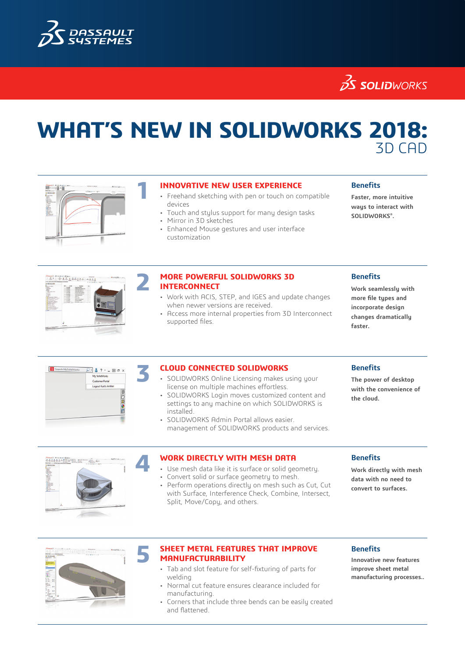

**25 SOLID**WORKS

# **WHAT'S NEW IN SOLIDWORKS 2018:** 3D CAD



- **11 INNOVATIVE NEW USER EXPERIENCE**<br>• Freehand sketching with pen or touch on compatible devices
	- Touch and stylus support for many design tasks
	- Mirror in 3D sketches
	- Enhanced Mouse gestures and user interface customization

### **Benefits**

**Faster, more intuitive ways to interact with SOLIDWORKS®.**



#### **2 MORE POWERFUL SOLIDWORKS 3D INTERCONNECT**

- Work with ACIS, STEP, and IGES and update changes when newer versions are received.
- Access more internal properties from 3D Interconnect supported files.

#### **Benefits**

**Work seamlessly with more file types and incorporate design changes dramatically faster.**

Search MySolidWork  $2.8$  ?  $\boxplus$   $\oplus$  > My SolidWorks Customer Portal out Kurtis An ◎○図●目

- **3 CLOUD CONNECTED SOLIDWORKS**<br>
SOLIDWORKS Online Licensing makes using your license on multiple machines effortless.
	- SOLIDWORKS Login moves customized content and settings to any machine on which SOLIDWORKS is installed.
	- SOLIDWORKS Admin Portal allows easier. management of SOLIDWORKS products and services.

#### **Benefits**

**The power of desktop with the convenience of the cloud.**



- **4 <b>WORK DIRECTLY WITH MESH DATA**<br>• Use mesh data like it is surface or solid geometry.
	- Convert solid or surface geometry to mesh.
	- Perform operations directly on mesh such as Cut, Cut
	- with Surface, Interference Check, Combine, Intersect, Split, Move/Copy, and others.

#### **Benefits**

**Work directly with mesh data with no need to convert to surfaces.**



#### **5 SHEET METAL FEATURES THAT IMPROVE MANUFACTURABILITY**

- Tab and slot feature for self-fixturing of parts for welding
- Normal cut feature ensures clearance included for manufacturing.
- Corners that include three bends can be easily created and flattened.

#### **Benefits**

**Innovative new features improve sheet metal manufacturing processes..**